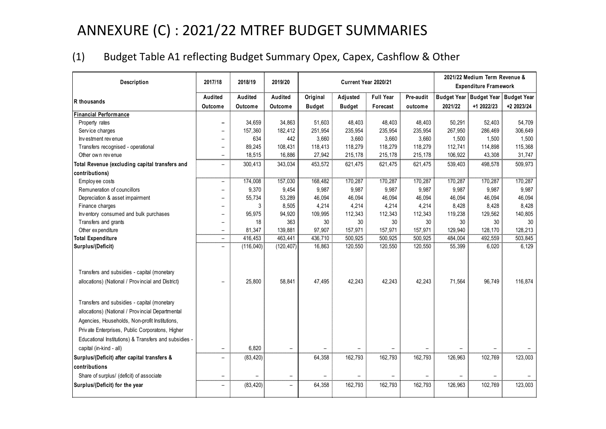# ANNEXURE (C) : 2021/22 MTREF BUDGET SUMMARIES

#### (1) Budget Table A1 reflecting Budget Summary Opex, Capex, Cashflow & Other

|                                                                                                                                                                                                                                                               |                          | 2017/18<br>2018/19<br>2019/20<br>Current Year 2020/21 |                          |               |               |                  | 2021/22 Medium Term Revenue & |         |                                     |            |
|---------------------------------------------------------------------------------------------------------------------------------------------------------------------------------------------------------------------------------------------------------------|--------------------------|-------------------------------------------------------|--------------------------|---------------|---------------|------------------|-------------------------------|---------|-------------------------------------|------------|
| Description                                                                                                                                                                                                                                                   |                          |                                                       |                          |               |               |                  |                               |         | <b>Expenditure Framework</b>        |            |
| R thousands                                                                                                                                                                                                                                                   | Audited                  | Audited                                               | Audited                  | Original      | Adjusted      | <b>Full Year</b> | Pre-audit                     |         | Budget Year Budget Year Budget Year |            |
|                                                                                                                                                                                                                                                               | Outcome                  | Outcome                                               | Outcome                  | <b>Budget</b> | <b>Budget</b> | Forecast         | outcome                       | 2021/22 | +1 2022/23                          | +2 2023/24 |
| Financial Performance                                                                                                                                                                                                                                         |                          |                                                       |                          |               |               |                  |                               |         |                                     |            |
| Property rates                                                                                                                                                                                                                                                | $\overline{\phantom{0}}$ | 34,659                                                | 34,863                   | 51,603        | 48,403        | 48,403           | 48,403                        | 50,291  | 52,403                              | 54,709     |
| Service charges                                                                                                                                                                                                                                               | -                        | 157,360                                               | 182,412                  | 251,954       | 235,954       | 235,954          | 235,954                       | 267,950 | 286,469                             | 306,649    |
| Investment revenue                                                                                                                                                                                                                                            | $\overline{\phantom{a}}$ | 634                                                   | 442                      | 3,660         | 3,660         | 3,660            | 3,660                         | 1,500   | 1,500                               | 1,500      |
| Transfers recognised - operational                                                                                                                                                                                                                            | $\qquad \qquad -$        | 89,245                                                | 108,431                  | 118,413       | 118,279       | 118,279          | 118,279                       | 112,741 | 114,898                             | 115,368    |
| Other own revenue                                                                                                                                                                                                                                             | $\overline{\phantom{0}}$ | 18,515                                                | 16,886                   | 27,942        | 215,178       | 215,178          | 215,178                       | 106,922 | 43,308                              | 31,747     |
| Total Revenue (excluding capital transfers and                                                                                                                                                                                                                | $\qquad \qquad -$        | 300,413                                               | 343,034                  | 453,572       | 621,475       | 621,475          | 621,475                       | 539,403 | 498,578                             | 509,973    |
| contributions)                                                                                                                                                                                                                                                |                          |                                                       |                          |               |               |                  |                               |         |                                     |            |
| Employee costs                                                                                                                                                                                                                                                | $\overline{\phantom{a}}$ | 174,008                                               | 157,030                  | 168,482       | 170,287       | 170,287          | 170,287                       | 170,287 | 170,287                             | 170,287    |
| Remuneration of councillors                                                                                                                                                                                                                                   | $\overline{\phantom{0}}$ | 9,370                                                 | 9,454                    | 9,987         | 9,987         | 9,987            | 9,987                         | 9,987   | 9,987                               | 9,987      |
| Depreciation & asset impairment                                                                                                                                                                                                                               | $\overline{\phantom{0}}$ | 55,734                                                | 53,289                   | 46,094        | 46,094        | 46,094           | 46,094                        | 46,094  | 46,094                              | 46,094     |
| Finance charges                                                                                                                                                                                                                                               | $\overline{\phantom{0}}$ | 3                                                     | 8,505                    | 4,214         | 4,214         | 4,214            | 4,214                         | 8,428   | 8,428                               | 8,428      |
| Inventory consumed and bulk purchases                                                                                                                                                                                                                         | $\overline{\phantom{0}}$ | 95,975                                                | 94,920                   | 109,995       | 112,343       | 112,343          | 112,343                       | 119,238 | 129,562                             | 140,805    |
| Transfers and grants                                                                                                                                                                                                                                          | $\overline{\phantom{m}}$ | 18                                                    | 363                      | 30            | 30            | 30               | 30                            | 30      | 30                                  | 30         |
| Other expenditure                                                                                                                                                                                                                                             | $\overline{\phantom{a}}$ | 81,347                                                | 139,881                  | 97,907        | 157,971       | 157,971          | 157,971                       | 129,940 | 128,170                             | 128,213    |
| <b>Total Expenditure</b>                                                                                                                                                                                                                                      | $\overline{\phantom{0}}$ | 416,453                                               | 463,441                  | 436.710       | 500,925       | 500,925          | 500,925                       | 484,004 | 492,559                             | 503,845    |
| Surplus/(Deficit)                                                                                                                                                                                                                                             | $\overline{\phantom{0}}$ | (116, 040)                                            | (120, 407)               | 16,863        | 120,550       | 120,550          | 120,550                       | 55,399  | 6,020                               | 6,129      |
| Transfers and subsidies - capital (monetary<br>allocations) (National / Provincial and District)                                                                                                                                                              | $\qquad \qquad -$        | 25,800                                                | 58,841                   | 47,495        | 42,243        | 42,243           | 42,243                        | 71,564  | 96,749                              | 116,874    |
| Transfers and subsidies - capital (monetary<br>allocations) (National / Provincial Departmental<br>Agencies, Households, Non-profit Institutions,<br>Private Enterprises, Public Corporatons, Higher<br>Educational Institutions) & Transfers and subsidies - |                          |                                                       |                          |               |               |                  |                               |         |                                     |            |
| capital (in-kind - all)                                                                                                                                                                                                                                       | $\overline{\phantom{0}}$ | 6,820                                                 | $\overline{\phantom{0}}$ |               |               |                  |                               |         |                                     |            |
| Surplus/(Deficit) after capital transfers &                                                                                                                                                                                                                   | $\qquad \qquad -$        | (83, 420)                                             |                          | 64,358        | 162,793       | 162,793          | 162,793                       | 126,963 | 102,769                             | 123,003    |
| contributions                                                                                                                                                                                                                                                 |                          |                                                       |                          |               |               |                  |                               |         |                                     |            |
| Share of surplus/ (deficit) of associate                                                                                                                                                                                                                      | $\overline{\phantom{m}}$ |                                                       | $\overline{\phantom{0}}$ |               |               |                  |                               |         |                                     |            |
| Surplus/(Deficit) for the year                                                                                                                                                                                                                                | $\overline{\phantom{0}}$ | (83, 420)                                             | $\qquad \qquad -$        | 64,358        | 162,793       | 162,793          | 162,793                       | 126,963 | 102,769                             | 123,003    |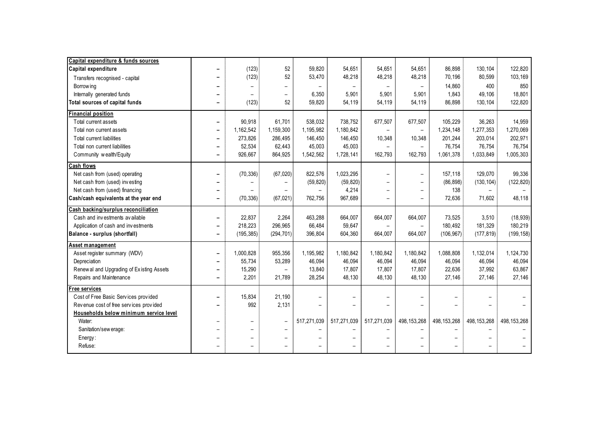| Capital expenditure & funds sources      |                              |                          |                          |                          |                          |                          |                          |               |               |               |
|------------------------------------------|------------------------------|--------------------------|--------------------------|--------------------------|--------------------------|--------------------------|--------------------------|---------------|---------------|---------------|
| Capital expenditure                      |                              | (123)                    | 52                       | 59,820                   | 54,651                   | 54,651                   | 54,651                   | 86,898        | 130,104       | 122,820       |
| Transfers recognised - capital           |                              | (123)                    | 52                       | 53,470                   | 48,218                   | 48,218                   | 48,218                   | 70,196        | 80,599        | 103,169       |
| Borrow ing                               |                              |                          | -                        |                          | $\overline{\phantom{a}}$ |                          | $\overline{\phantom{0}}$ | 14,860        | 400           | 850           |
| Internally generated funds               |                              |                          | -                        | 6,350                    | 5.901                    | 5,901                    | 5.901                    | 1.843         | 49.106        | 18,801        |
| Total sources of capital funds           |                              | (123)                    | 52                       | 59,820                   | 54,119                   | 54,119                   | 54,119                   | 86,898        | 130,104       | 122,820       |
| <b>Financial position</b>                |                              |                          |                          |                          |                          |                          |                          |               |               |               |
| Total current assets                     | -                            | 90,918                   | 61,701                   | 538,032                  | 738,752                  | 677,507                  | 677,507                  | 105.229       | 36,263        | 14,959        |
| Total non current assets                 | $\overline{\phantom{0}}$     | 1,162,542                | 1,159,300                | 1.195.982                | 1.180.842                | $\overline{\phantom{m}}$ | $\overline{\phantom{a}}$ | 1,234,148     | 1.277.353     | 1,270,069     |
| Total current liabilities                | $\overline{\phantom{0}}$     | 273,826                  | 286,495                  | 146,450                  | 146,450                  | 10,348                   | 10,348                   | 201,244       | 203,014       | 202,971       |
| Total non current liabilities            | -                            | 52,534                   | 62,443                   | 45,003                   | 45,003                   | $\overline{\phantom{a}}$ | $\overline{\phantom{a}}$ | 76.754        | 76,754        | 76,754        |
| Community wealth/Equity                  | $\overline{\phantom{a}}$     | 926,667                  | 864,925                  | 1,542,562                | 1,728,141                | 162,793                  | 162,793                  | 1,061,378     | 1,033,849     | 1,005,303     |
| Cash flows                               |                              |                          |                          |                          |                          |                          |                          |               |               |               |
| Net cash from (used) operating           | $\overline{\phantom{0}}$     | (70, 336)                | (67, 020)                | 822,576                  | 1,023,295                | $\overline{\phantom{0}}$ | $\overline{\phantom{m}}$ | 157.118       | 129.070       | 99,336        |
| Net cash from (used) investing           |                              |                          |                          | (59, 820)                | (59, 820)                |                          | $\overline{\phantom{0}}$ | (86, 898)     | (130, 104)    | (122, 820)    |
| Net cash from (used) financing           |                              |                          |                          |                          | 4,214                    |                          | $\overline{\phantom{0}}$ | 138           |               |               |
| Cash/cash equivalents at the year end    |                              | (70, 336)                | (67, 021)                | 762,756                  | 967,689                  |                          | $\equiv$                 | 72,636        | 71,602        | 48,118        |
| Cash backing/surplus reconciliation      |                              |                          |                          |                          |                          |                          |                          |               |               |               |
| Cash and investments available           | $\overline{\phantom{a}}$     | 22.837                   | 2.264                    | 463,288                  | 664.007                  | 664,007                  | 664,007                  | 73.525        | 3.510         | (18, 939)     |
| Application of cash and investments      | $\overline{\phantom{0}}$     | 218,223                  | 296,965                  | 66,484                   | 59,647                   | $\qquad \qquad -$        | $\overline{\phantom{a}}$ | 180,492       | 181,329       | 180,219       |
| Balance - surplus (shortfall)            | $\overline{\phantom{0}}$     | (195, 385)               | (294, 701)               | 396,804                  | 604,360                  | 664,007                  | 664,007                  | (106, 967)    | (177, 819)    | (199, 158)    |
| Asset management                         |                              |                          |                          |                          |                          |                          |                          |               |               |               |
| Asset register summary (WDV)             | $\qquad \qquad \blacksquare$ | 1,000,828                | 955,356                  | 1,195,982                | 1,180,842                | 1,180,842                | 1,180,842                | 1,088,808     | 1,132,014     | 1,124,730     |
| Depreciation                             | $\overline{\phantom{0}}$     | 55,734                   | 53,289                   | 46,094                   | 46,094                   | 46,094                   | 46,094                   | 46,094        | 46,094        | 46,094        |
| Renewal and Upgrading of Existing Assets | $\qquad \qquad \blacksquare$ | 15,290                   | $\overline{\phantom{a}}$ | 13,840                   | 17,807                   | 17,807                   | 17,807                   | 22,636        | 37,992        | 63,867        |
| Repairs and Maintenance                  | $\overline{\phantom{a}}$     | 2,201                    | 21,789                   | 28,254                   | 48,130                   | 48,130                   | 48,130                   | 27,146        | 27,146        | 27.146        |
| Free services                            |                              |                          |                          |                          |                          |                          |                          |               |               |               |
| Cost of Free Basic Services provided     | $\overline{\phantom{0}}$     | 15,834                   | 21,190                   | $\overline{\phantom{0}}$ | $\overline{\phantom{0}}$ |                          |                          |               |               |               |
| Revenue cost of free services provided   |                              | 992                      | 2,131                    |                          |                          |                          |                          |               |               |               |
| Households below minimum service level   |                              |                          |                          |                          |                          |                          |                          |               |               |               |
| Water:                                   | $\overline{\phantom{0}}$     | $\overline{\phantom{0}}$ | $\overline{\phantom{a}}$ | 517,271,039              | 517,271,039              | 517,271,039              | 498, 153, 268            | 498, 153, 268 | 498, 153, 268 | 498, 153, 268 |
| Sanitation/sew erage:                    |                              | $\overline{\phantom{0}}$ | $\overline{\phantom{0}}$ |                          |                          |                          |                          |               |               |               |
| Energy:                                  |                              |                          | $\overline{\phantom{0}}$ |                          |                          |                          |                          |               |               |               |
| Refuse:                                  |                              |                          |                          |                          |                          |                          |                          |               |               |               |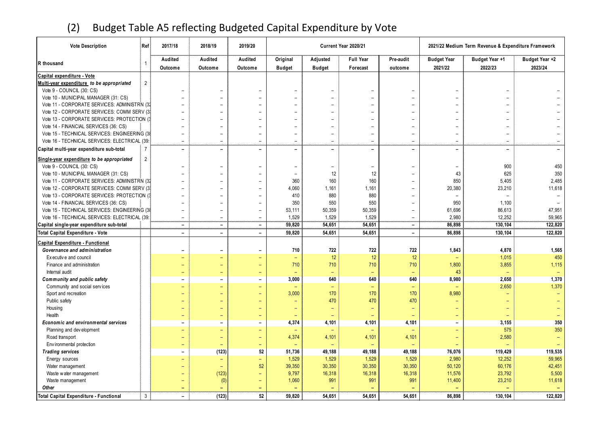### (2) Budget Table A5 reflecting Budgeted Capital Expenditure by Vote

| <b>Vote Description</b>                       | Ref            | 2017/18                  | 2018/19                  | 2019/20                  |                          |                          | Current Year 2020/21     |                          | 2021/22 Medium Term Revenue & Expenditure Framework |                                                        |         |  |  |  |
|-----------------------------------------------|----------------|--------------------------|--------------------------|--------------------------|--------------------------|--------------------------|--------------------------|--------------------------|-----------------------------------------------------|--------------------------------------------------------|---------|--|--|--|
|                                               |                | Audited                  | Audited                  | Audited                  | Original                 | Adjusted                 | <b>Full Year</b>         | Pre-audit                |                                                     | Budget Year +1<br>Budget Year +2<br><b>Budget Year</b> |         |  |  |  |
| R thousand                                    | $\overline{1}$ | Outcome                  | Outcome                  | Outcome                  | <b>Budget</b>            | <b>Budget</b>            | Forecast                 | outcome                  | 2021/22                                             | 2022/23                                                | 2023/24 |  |  |  |
| Capital expenditure - Vote                    |                |                          |                          |                          |                          |                          |                          |                          |                                                     |                                                        |         |  |  |  |
| Multi-year expenditure to be appropriated     | $\overline{2}$ |                          |                          |                          |                          |                          |                          |                          |                                                     |                                                        |         |  |  |  |
| Vote 9 - COUNCIL (30: CS)                     |                |                          |                          | $\equiv$                 | $\equiv$                 | $\overline{\phantom{a}}$ |                          |                          |                                                     |                                                        |         |  |  |  |
| Vote 10 - MUNICIPAL MANAGER (31: CS)          |                |                          |                          |                          | $\overline{\phantom{0}}$ | $\overline{\phantom{0}}$ |                          |                          |                                                     |                                                        |         |  |  |  |
| Vote 11 - CORPORATE SERVICES: ADMINISTRN (32  |                |                          |                          |                          |                          | $\overline{\phantom{a}}$ |                          |                          |                                                     |                                                        |         |  |  |  |
| Vote 12 - CORPORATE SERVICES: COMM SERV (3)   |                |                          |                          | $\overline{\phantom{0}}$ | $\overline{\phantom{0}}$ | $\qquad \qquad -$        |                          |                          |                                                     |                                                        |         |  |  |  |
| Vote 13 - CORPORATE SERVICES: PROTECTION (3)  |                |                          |                          |                          |                          | $\overline{\phantom{a}}$ |                          |                          |                                                     |                                                        |         |  |  |  |
| Vote 14 - FINANCIAL SERVICES (36: CS)         |                |                          |                          | $\overline{\phantom{0}}$ |                          | $\qquad \qquad -$        |                          |                          |                                                     |                                                        |         |  |  |  |
| Vote 15 - TECHNICAL SERVICES: ENGINEERING (38 |                |                          |                          | $\overline{\phantom{0}}$ | $\overline{\phantom{0}}$ | $\overline{\phantom{0}}$ |                          |                          |                                                     |                                                        |         |  |  |  |
| Vote 16 - TECHNICAL SERVICES: ELECTRICAL (39: |                |                          | $\overline{\phantom{a}}$ |                          | $\overline{\phantom{0}}$ | ÷,                       |                          |                          |                                                     |                                                        |         |  |  |  |
| Capital multi-year expenditure sub-total      | $\overline{7}$ | $\overline{\phantom{0}}$ | $\overline{\phantom{a}}$ | $\overline{\phantom{a}}$ | $\overline{\phantom{0}}$ | $\overline{\phantom{0}}$ | $\overline{\phantom{0}}$ | $\overline{\phantom{0}}$ | $\overline{\phantom{0}}$                            | $\overline{\phantom{0}}$                               |         |  |  |  |
| Single-year expenditure to be appropriated    | $\overline{2}$ |                          |                          |                          |                          |                          |                          |                          |                                                     |                                                        |         |  |  |  |
| Vote 9 - COUNCIL (30: CS)                     |                |                          | $\overline{\phantom{a}}$ | $\overline{\phantom{a}}$ | $\overline{\phantom{a}}$ | $\overline{\phantom{a}}$ | $\overline{\phantom{0}}$ | $\overline{\phantom{0}}$ | $\overline{\phantom{0}}$                            | 900                                                    | 450     |  |  |  |
| Vote 10 - MUNICIPAL MANAGER (31: CS)          |                |                          |                          | $\overline{\phantom{0}}$ | $\overline{\phantom{0}}$ | 12                       | 12                       |                          | 43                                                  | 625                                                    | 350     |  |  |  |
| Vote 11 - CORPORATE SERVICES: ADMINISTRN (32  |                |                          | $\overline{\phantom{a}}$ | $\overline{\phantom{a}}$ | 360                      | 160                      | 160                      | $\overline{\phantom{0}}$ | 850                                                 | 5,405                                                  | 2,485   |  |  |  |
| Vote 12 - CORPORATE SERVICES: COMM SERV (3)   |                |                          |                          | $\overline{\phantom{0}}$ | 4,060                    | 1,161                    | 1,161                    | ÷                        | 20,380                                              | 23,210                                                 | 11,618  |  |  |  |
| Vote 13 - CORPORATE SERVICES: PROTECTION (3)  |                |                          |                          | $\overline{\phantom{0}}$ | 410                      | 880                      | 880                      | $\overline{\phantom{0}}$ | $\overline{a}$                                      |                                                        |         |  |  |  |
| Vote 14 - FINANCIAL SERVICES (36: CS)         |                |                          |                          | $\overline{a}$           | 350                      | 550                      | 550                      |                          | 950                                                 | 1,100                                                  |         |  |  |  |
| Vote 15 - TECHNICAL SERVICES: ENGINEERING (38 |                |                          |                          | $\overline{\phantom{0}}$ | 53,111                   | 50,359                   | 50,359                   | $\overline{\phantom{0}}$ | 61,696                                              | 86,613                                                 | 47,951  |  |  |  |
| Vote 16 - TECHNICAL SERVICES: ELECTRICAL (39: |                | $\overline{\phantom{0}}$ |                          | $\overline{\phantom{0}}$ | 1,529                    | 1,529                    | 1,529                    | ÷                        | 2.980                                               | 12,252                                                 | 59,965  |  |  |  |
| Capital single-year expenditure sub-total     |                | $\overline{\phantom{a}}$ | $\overline{\phantom{a}}$ | $\overline{\phantom{a}}$ | 59,820                   | 54,651                   | 54,651                   | $\overline{\phantom{a}}$ | 86,898                                              | 130,104                                                | 122,820 |  |  |  |
| Total Capital Expenditure - Vote              |                | $\overline{\phantom{0}}$ | $\sim$                   | $\overline{\phantom{0}}$ | 59,820                   | 54,651                   | 54,651                   | $\equiv$                 | 86,898                                              | 130,104                                                | 122,820 |  |  |  |
| Capital Expenditure - Functional              |                |                          |                          |                          |                          |                          |                          |                          |                                                     |                                                        |         |  |  |  |
| Governance and administration                 |                | $\overline{a}$           | $\overline{\phantom{0}}$ | $\overline{\phantom{0}}$ | 710                      | 722                      | 722                      | 722                      | 1,843                                               | 4,870                                                  | 1,565   |  |  |  |
| Executive and council                         |                |                          |                          | ÷                        | $\equiv$                 | 12                       | 12                       | 12                       |                                                     | 1,015                                                  | 450     |  |  |  |
| Finance and administration                    |                |                          | $\equiv$                 | $\equiv$                 | 710                      | 710                      | 710                      | 710                      | 1,800                                               | 3,855                                                  | 1,115   |  |  |  |
| Internal audit                                |                |                          |                          | ÷                        |                          | $\equiv$                 |                          | $\equiv$                 | 43                                                  |                                                        |         |  |  |  |
| Community and public safety                   |                | $\overline{a}$           |                          | $\overline{\phantom{a}}$ | 3,000                    | 640                      | 640                      | 640                      | 8,980                                               | 2,650                                                  | 1,370   |  |  |  |
| Community and social services                 |                |                          |                          | Ξ                        |                          | $\qquad \qquad -$        |                          | $\equiv$                 |                                                     | 2,650                                                  | 1,370   |  |  |  |
| Sport and recreation                          |                |                          | $\overline{\phantom{0}}$ | $\overline{\phantom{0}}$ | 3,000                    | 170                      | 170                      | 170                      | 8,980                                               |                                                        |         |  |  |  |
| Public safety                                 |                |                          |                          | -                        |                          | 470                      | 470                      | 470                      |                                                     |                                                        |         |  |  |  |
| Housing                                       |                |                          |                          | $\overline{\phantom{0}}$ | $\overline{\phantom{0}}$ | $\equiv$                 |                          | $\equiv$                 |                                                     | $\overline{\phantom{0}}$                               |         |  |  |  |
| Health                                        |                |                          |                          | -                        |                          |                          |                          |                          |                                                     |                                                        |         |  |  |  |
| Economic and environmental services           |                | $\overline{\phantom{0}}$ | $\overline{\phantom{a}}$ | $\overline{\phantom{0}}$ | 4,374                    | 4,101                    | 4,101                    | 4,101                    | -                                                   | 3,155                                                  | 350     |  |  |  |
| Planning and development                      |                |                          | $\qquad \qquad -$        | -                        |                          |                          |                          | $\overline{\phantom{0}}$ | $\overline{\phantom{0}}$                            | 575                                                    | 350     |  |  |  |
| Road transport                                |                |                          | $\qquad \qquad -$        | $\qquad \qquad -$        | 4,374                    | 4,101                    | 4,101                    | 4,101                    | $\overline{\phantom{0}}$                            | 2,580                                                  |         |  |  |  |
| Env ironmental protection                     |                |                          | $\equiv$                 | -                        |                          |                          |                          |                          |                                                     |                                                        |         |  |  |  |
| <b>Trading services</b>                       |                | $\overline{\phantom{0}}$ | (123)                    | 52                       | 51,736                   | 49,188                   | 49,188                   | 49,188                   | 76,076                                              | 119,429                                                | 119,535 |  |  |  |
| Energy sources                                |                |                          | -                        | ÷,                       | 1,529                    | 1,529                    | 1,529                    | 1,529                    | 2,980                                               | 12,252                                                 | 59,965  |  |  |  |
| Water management                              |                |                          | $\equiv$                 | 52                       | 39,350                   | 30,350                   | 30,350                   | 30,350                   | 50,120                                              | 60,176                                                 | 42,451  |  |  |  |
| Waste water management                        |                |                          | (123)                    | -                        | 9,797                    | 16,318                   | 16,318                   | 16,318                   | 11,576                                              | 23,792                                                 | 5,500   |  |  |  |
| Waste management                              |                |                          | (0)                      | -                        | 1,060                    | 991                      | 991                      | 991                      | 11,400                                              | 23,210                                                 | 11,618  |  |  |  |
| Other                                         |                |                          |                          | -                        |                          |                          |                          |                          |                                                     |                                                        |         |  |  |  |
| <b>Total Capital Expenditure - Functional</b> | $\mathbf{3}$   | $\overline{\phantom{a}}$ | (123)                    | 52                       | 59,820                   | 54,651                   | 54,651                   | 54,651                   | 86,898                                              | 130,104                                                | 122,820 |  |  |  |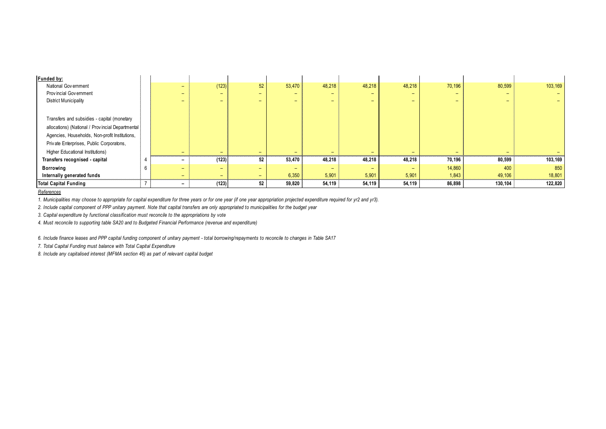| Funded by:                                        |                          |       |                          |                          |        |                          |                          |                          |                          |         |
|---------------------------------------------------|--------------------------|-------|--------------------------|--------------------------|--------|--------------------------|--------------------------|--------------------------|--------------------------|---------|
| National Government                               | -                        | (123) | 52                       | 53,470                   | 48,218 | 48,218                   | 48,218                   | 70,196                   | 80,599                   | 103,169 |
| Provincial Government                             | -                        | -     | $-$                      | $\overline{\phantom{0}}$ | -      | $\overline{\phantom{0}}$ | $-$                      | $\overline{\phantom{0}}$ | $\overline{\phantom{0}}$ |         |
| <b>District Municipality</b>                      | -                        | -     | $-$                      | $\qquad \qquad -$        | $-$    | -                        | $-$                      | -                        | -                        |         |
|                                                   |                          |       |                          |                          |        |                          |                          |                          |                          |         |
| Transfers and subsidies - capital (monetary       |                          |       |                          |                          |        |                          |                          |                          |                          |         |
| allocations) (National / Provincial Departmental) |                          |       |                          |                          |        |                          |                          |                          |                          |         |
| Agencies, Households, Non-profit Institutions,    |                          |       |                          |                          |        |                          |                          |                          |                          |         |
| Private Enterprises, Public Corporatons,          |                          |       |                          |                          |        |                          |                          |                          |                          |         |
| Higher Educational Institutions)                  | -                        | -     | $\overline{\phantom{0}}$ | $\overline{\phantom{0}}$ | -      | $\overline{\phantom{0}}$ | $\overline{\phantom{0}}$ | $\qquad \qquad$          | $\overline{\phantom{0}}$ |         |
| Transfers recognised - capital                    | $\overline{\phantom{0}}$ | (123) | 52                       | 53,470                   | 48,218 | 48,218                   | 48,218                   | 70,196                   | 80,599                   | 103,169 |
| <b>Borrowing</b>                                  | -                        | -     | $-$                      | $\qquad \qquad -$        | $-$    | $\overline{\phantom{0}}$ | $\overline{\phantom{0}}$ | 14,860                   | 400                      | 850     |
| Internally generated funds                        | $-$                      | ۰.    | $\overline{\phantom{0}}$ | 6,350                    | 5,901  | 5,901                    | 5,901                    | 1,843                    | 49,106                   | 18,801  |
| <b>Total Capital Funding</b>                      | $\overline{\phantom{a}}$ | (123) | 52                       | 59,820                   | 54,119 | 54,119                   | 54,119                   | 86,898                   | 130,104                  | 122,820 |

*References*

*1. Municipalities may choose to appropriate for capital expenditure for three years or for one year (if one year appropriation projected expenditure required for yr2 and yr3).*

*2. Include capital component of PPP unitary payment. Note that capital transfers are only appropriated to municipalities for the budget year*

*3. Capital expenditure by functional classification must reconcile to the appropriations by vote*

*4. Must reconcile to supporting table SA20 and to Budgeted Financial Performance (revenue and expenditure)*

*6. Include finance leases and PPP capital funding component of unitary payment - total borrowing/repayments to reconcile to changes in Table SA17*

*7. Total Capital Funding must balance with Total Capital Expenditure*

*8. Include any capitalised interest (MFMA section 46) as part of relevant capital budget*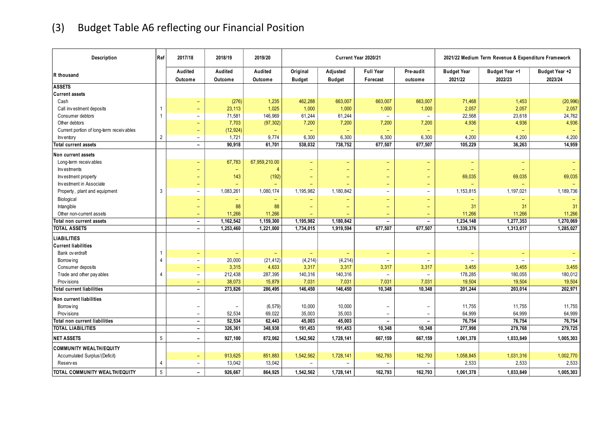# (3) Budget Table A6 reflecting our Financial Position

| Description                              | Ref            | 2017/18                  | 2018/19                       | 2019/20                  |                           |                           | Current Year 2020/21         |                          |                               | 2021/22 Medium Term Revenue & Expenditure Framework |                           |
|------------------------------------------|----------------|--------------------------|-------------------------------|--------------------------|---------------------------|---------------------------|------------------------------|--------------------------|-------------------------------|-----------------------------------------------------|---------------------------|
| R thousand                               |                | Audited<br>Outcome       | Audited<br>Outcome            | Audited<br>Outcome       | Original<br><b>Budget</b> | Adjusted<br><b>Budget</b> | <b>Full Year</b><br>Forecast | Pre-audit<br>outcome     | <b>Budget Year</b><br>2021/22 | Budget Year +1<br>2022/23                           | Budget Year +2<br>2023/24 |
| <b>ASSETS</b>                            |                |                          |                               |                          |                           |                           |                              |                          |                               |                                                     |                           |
| <b>Current assets</b>                    |                |                          |                               |                          |                           |                           |                              |                          |                               |                                                     |                           |
| Cash                                     |                |                          | (276)                         | 1,235                    | 462,288                   | 663,007                   | 663,007                      | 663,007                  | 71,468                        | 1,453                                               | (20, 996)                 |
| Call investment deposits                 | $\mathbf{1}$   | $\qquad \qquad -$        | 23,113                        | 1,025                    | 1,000                     | 1,000                     | 1,000                        | 1,000                    | 2,057                         | 2,057                                               | 2,057                     |
| Consumer debtors                         | $\overline{1}$ | $\overline{\phantom{a}}$ | 71,581                        | 146,969                  | 61,244                    | 61,244                    | $\overline{\phantom{a}}$     | $\overline{\phantom{a}}$ | 22,568                        | 23,618                                              | 24,762                    |
| Other debtors                            |                | $\qquad \qquad -$        | 7,703                         | (97, 302)                | 7,200                     | 7,200                     | 7,200                        | 7,200                    | 4,936                         | 4,936                                               | 4,936                     |
| Current portion of long-term receivables |                | $\overline{\phantom{0}}$ | (12, 924)                     | ÷                        |                           | $\overline{\phantom{0}}$  |                              | $\overline{\phantom{0}}$ |                               |                                                     |                           |
| Inventory                                | $\overline{2}$ | $\overline{\phantom{a}}$ | 1,721                         | 9,774                    | 6,300                     | 6,300                     | 6,300                        | 6,300                    | 4,200                         | 4,200                                               | 4,200                     |
| <b>Total current assets</b>              |                | $\overline{\phantom{a}}$ | 90,918                        | 61,701                   | 538,032                   | 738,752                   | 677,507                      | 677,507                  | 105,229                       | 36,263                                              | 14,959                    |
| <b>Non current assets</b>                |                |                          |                               |                          |                           |                           |                              |                          |                               |                                                     |                           |
| Long-term receivables                    |                |                          | 67,783                        | 67,959,210.00            |                           | $\overline{\phantom{0}}$  | ۳                            |                          |                               |                                                     |                           |
| Investments                              |                | $\qquad \qquad -$        | $\overline{\phantom{0}}$      | $\overline{4}$           | $\qquad \qquad -$         | $\overline{\phantom{0}}$  | $\overline{\phantom{0}}$     | $\overline{\phantom{0}}$ |                               |                                                     |                           |
| Investment property                      |                |                          | 143                           | (192)                    |                           | $\overline{\phantom{0}}$  | $\overline{\phantom{0}}$     | ۳                        | 69,035                        | 69,035                                              | 69,035                    |
| Investment in Associate                  |                | $\overline{\phantom{m}}$ |                               |                          | $\equiv$                  | $\equiv$                  | $\qquad \qquad -$            | $\equiv$                 |                               |                                                     |                           |
| Property, plant and equipment            | 3              | $\equiv$                 | 1,083,261                     | 1,080,174                | 1,195,982                 | 1,180,842                 | $\overline{\phantom{a}}$     | $\overline{\phantom{a}}$ | 1,153,815                     | 1,197,021                                           | 1,189,736                 |
| Biological                               |                | $\equiv$                 | $\overline{\phantom{0}}$      | $\overline{\phantom{0}}$ |                           | $\equiv$                  | ÷                            | ÷                        | $\qquad \qquad -$             |                                                     |                           |
| Intangible                               |                | $\overline{\phantom{0}}$ | 88                            | 88                       |                           |                           | $\overline{\phantom{0}}$     |                          | 31                            | 31                                                  | 31                        |
| Other non-current assets                 |                | $\overline{\phantom{m}}$ | 11,266                        | 11,266                   |                           |                           | $\overline{\phantom{0}}$     | $\equiv$                 | 11,266                        | 11,266                                              | 11,266                    |
| Total non current assets                 |                | $\blacksquare$           | 1,162,542                     | 1,159,300                | 1,195,982                 | 1,180,842                 | $\overline{\phantom{0}}$     | $\overline{\phantom{a}}$ | 1,234,148                     | 1,277,353                                           | 1,270,069                 |
| <b>TOTAL ASSETS</b>                      |                | $\overline{\phantom{a}}$ | 1,253,460                     | 1,221,000                | 1,734,015                 | 1,919,594                 | 677,507                      | 677,507                  | 1,339,376                     | 1,313,617                                           | 1,285,027                 |
| LIABILITIES                              |                |                          |                               |                          |                           |                           |                              |                          |                               |                                                     |                           |
| <b>Current liabilities</b>               |                |                          |                               |                          |                           |                           |                              |                          |                               |                                                     |                           |
| Bank ov erdraft                          | $\mathbf{1}$   | $\qquad \qquad -$        | $\overline{\phantom{0}}$      | $\overline{\phantom{0}}$ |                           | $\overline{\phantom{0}}$  | $\overline{\phantom{0}}$     | $\equiv$                 | $\overline{\phantom{0}}$      | $\qquad \qquad -$                                   |                           |
| Borrow ing                               | $\overline{4}$ | $\overline{\phantom{a}}$ | 20,000                        | (21, 412)                | (4, 214)                  | (4, 214)                  |                              | $\overline{\phantom{a}}$ |                               |                                                     |                           |
| Consumer deposits                        |                | $\equiv$                 | 3,315                         | 4,633                    | 3,317                     | 3,317                     | 3,317                        | 3,317                    | 3,455                         | 3,455                                               | 3,455                     |
| Trade and other pay ables                | $\overline{4}$ | $\overline{\phantom{a}}$ | 212,438                       | 287,395                  | 140,316                   | 140,316                   |                              | $\equiv$                 | 178,285                       | 180,055                                             | 180,012                   |
| Prov isions                              |                | $\qquad \qquad -$        | 38,073                        | 15,879                   | 7,031                     | 7,031                     | 7,031                        | 7,031                    | 19,504                        | 19,504                                              | 19,504                    |
| Total current liabilities                |                | $\overline{\phantom{0}}$ | 273,826                       | 286,495                  | 146,450                   | 146,450                   | 10,348                       | 10,348                   | 201,244                       | 203,014                                             | 202,971                   |
|                                          |                |                          |                               |                          |                           |                           |                              |                          |                               |                                                     |                           |
| Non current liabilities                  |                |                          |                               |                          |                           |                           |                              |                          |                               |                                                     |                           |
| Borrow ing                               |                | $\overline{\phantom{0}}$ | $\overline{\phantom{m}}$      | (6, 579)                 | 10,000                    | 10,000                    |                              |                          | 11,755                        | 11,755                                              | 11,755                    |
| Prov isions                              |                | $\overline{\phantom{a}}$ | 52,534<br>$\overline{52,534}$ | 69,022                   | 35,003                    | 35,003                    | $\overline{\phantom{a}}$     | $\overline{\phantom{a}}$ | 64,999                        | 64,999                                              | 64,999<br>76,754          |
| Total non current liabilities            |                | $\overline{\phantom{a}}$ |                               | 62,443                   | 45,003                    | 45,003                    | $\overline{\phantom{a}}$     | $\overline{\phantom{a}}$ | 76,754<br>277,998             | 76,754                                              | 279,725                   |
| <b>TOTAL LIABILITIES</b>                 |                | $\overline{\phantom{a}}$ | 326,361                       | 348,938                  | 191,453                   | 191,453                   | 10,348                       | 10,348                   |                               | 279,768                                             |                           |
| <b>NET ASSETS</b>                        | 5              | $\overline{\phantom{a}}$ | 927,100                       | 872,062                  | 1,542,562                 | 1,728,141                 | 667,159                      | 667,159                  | 1,061,378                     | 1,033,849                                           | 1,005,303                 |
| <b>COMMUNITY WEALTH/EQUITY</b>           |                |                          |                               |                          |                           |                           |                              |                          |                               |                                                     |                           |
| Accumulated Surplus/(Deficit)            |                |                          | 913,625                       | 851,883                  | 1,542,562                 | 1,728,141                 | 162,793                      | 162,793                  | 1,058,845                     | 1,031,316                                           | 1,002,770                 |
| <b>Reserves</b>                          | $\overline{4}$ | $\overline{\phantom{m}}$ | 13,042                        | 13,042                   | $\overline{\phantom{a}}$  |                           |                              | $\overline{\phantom{a}}$ | 2,533                         | 2,533                                               | 2,533                     |
| TOTAL COMMUNITY WEALTH/EQUITY            | 5              |                          | 926.667                       | 864,925                  | 1,542,562                 | 1,728,141                 | 162,793                      | 162,793                  | 1,061,378                     | 1,033,849                                           | 1,005,303                 |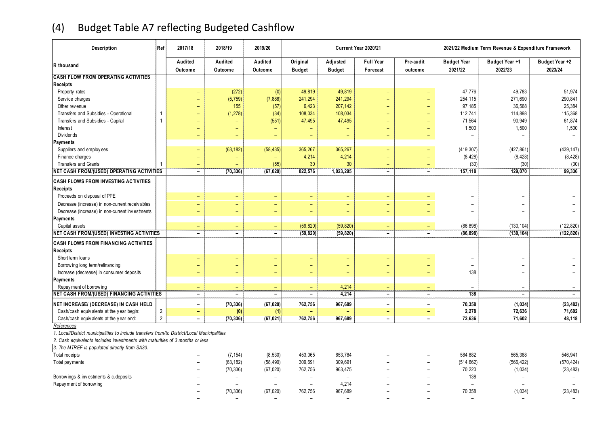## (4) Budget Table A7 reflecting Budgeted Cashflow

| Description                                                                                 | Ref            | 2017/18                  | 2018/19                  | 2019/20                  |                           |                           | Current Year 2020/21         |                          | 2021/22 Medium Term Revenue & Expenditure Framework |                           |                           |  |  |  |
|---------------------------------------------------------------------------------------------|----------------|--------------------------|--------------------------|--------------------------|---------------------------|---------------------------|------------------------------|--------------------------|-----------------------------------------------------|---------------------------|---------------------------|--|--|--|
| R thousand                                                                                  |                | Audited<br>Outcome       | Audited<br>Outcome       | Audited<br>Outcome       | Original<br><b>Budget</b> | Adjusted<br><b>Budget</b> | <b>Full Year</b><br>Forecast | Pre-audit<br>outcome     | <b>Budget Year</b><br>2021/22                       | Budget Year +1<br>2022/23 | Budget Year +2<br>2023/24 |  |  |  |
| <b>CASH FLOW FROM OPERATING ACTIVITIES</b>                                                  |                |                          |                          |                          |                           |                           |                              |                          |                                                     |                           |                           |  |  |  |
| <b>Receipts</b>                                                                             |                |                          |                          |                          |                           |                           |                              |                          |                                                     |                           |                           |  |  |  |
| Property rates                                                                              |                |                          | (272)                    | (0)                      | 49,819                    | 49,819                    | $\overline{\phantom{0}}$     | $\equiv$                 | 47,776                                              | 49,783                    | 51,974                    |  |  |  |
| Service charges                                                                             |                |                          | (5, 759)                 | (7,888)                  | 241,294                   | 241,294                   |                              | $\equiv$                 | 254,115                                             | 271,690                   | 290,841                   |  |  |  |
| Other revenue                                                                               |                |                          | 155                      | (57)                     | 6,423                     | 207,142                   |                              | ÷                        | 97,185                                              | 36,568                    | 25,384                    |  |  |  |
| Transfers and Subsidies - Operational                                                       | -1             | $\overline{\phantom{0}}$ | (1, 278)                 | (34)                     | 108,034                   | 108,034                   | $\overline{\phantom{0}}$     | $\equiv$                 | 112,741                                             | 114,898                   | 115,368                   |  |  |  |
| Transfers and Subsidies - Capital                                                           |                |                          | $\qquad \qquad -$        | (551)                    | 47,495                    | 47,495                    | $\overline{\phantom{0}}$     | ÷                        | 71,564                                              | 90,949                    | 61,874                    |  |  |  |
| Interest                                                                                    |                | $\overline{\phantom{0}}$ | $\overline{\phantom{0}}$ |                          |                           | $\overline{\phantom{0}}$  | $\overline{\phantom{0}}$     | $\equiv$                 | 1,500                                               | 1,500                     | 1,500                     |  |  |  |
| Div idends                                                                                  |                | $\equiv$                 |                          | -                        | $\overline{\phantom{0}}$  | $\equiv$                  | $\overline{\phantom{a}}$     | $\equiv$                 |                                                     |                           | $\equiv$                  |  |  |  |
| Payments                                                                                    |                |                          |                          |                          |                           |                           |                              |                          |                                                     |                           |                           |  |  |  |
| Suppliers and employees                                                                     |                | $\overline{\phantom{0}}$ | (63, 182)                | (58, 435)                | 365,267                   | 365,267                   | $\overline{\phantom{0}}$     | $\equiv$                 | (419, 307)                                          | (427, 861)                | (439, 147)                |  |  |  |
| Finance charges                                                                             |                |                          |                          |                          | 4,214                     | 4,214                     | $\overline{\phantom{a}}$     | $\overline{\phantom{0}}$ | (8, 428)                                            | (8, 428)                  | (8, 428)                  |  |  |  |
| Transfers and Grants                                                                        |                | $\overline{\phantom{0}}$ |                          | (55)                     | 30                        | 30                        | $\overline{\phantom{0}}$     | $\equiv$                 | (30)                                                | (30)                      | (30)                      |  |  |  |
| <b>NET CASH FROM/(USED) OPERATING ACTIVITIES</b>                                            |                | $\blacksquare$           | (70, 336)                | (67, 020)                | 822,576                   | 1,023,295                 | $\sim$                       | $\blacksquare$           | 157,118                                             | 129,070                   | 99,336                    |  |  |  |
| <b>CASH FLOWS FROM INVESTING ACTIVITIES</b>                                                 |                |                          |                          |                          |                           |                           |                              |                          |                                                     |                           |                           |  |  |  |
| <b>Receipts</b>                                                                             |                |                          |                          |                          |                           |                           |                              |                          |                                                     |                           |                           |  |  |  |
| Proceeds on disposal of PPE                                                                 |                |                          | $\qquad \qquad -$        | $\overline{\phantom{a}}$ | $\overline{\phantom{0}}$  | $\qquad \qquad -$         | $\overline{\phantom{a}}$     | $\overline{\phantom{0}}$ |                                                     |                           |                           |  |  |  |
| Decrease (increase) in non-current receivables                                              |                |                          | $\qquad \qquad -$        | ۳                        | $\overline{\phantom{0}}$  | $\overline{\phantom{0}}$  |                              |                          |                                                     |                           |                           |  |  |  |
| Decrease (increase) in non-current investments                                              |                |                          | $\overline{\phantom{0}}$ | $\qquad \qquad -$        | $\overline{\phantom{m}}$  | $\overline{\phantom{0}}$  | $\overline{\phantom{0}}$     | $\equiv$                 | $\equiv$                                            | $\equiv$                  | $\overline{\phantom{a}}$  |  |  |  |
| Payments                                                                                    |                |                          |                          |                          |                           |                           |                              |                          |                                                     |                           |                           |  |  |  |
| Capital assets                                                                              |                | $\equiv$                 | $\equiv$                 | $\equiv$                 | (59, 820)                 | (59, 820)                 | $\equiv$                     | $\equiv$                 | (86, 898)                                           | (130, 104)                | (122, 820)                |  |  |  |
| NET CASH FROM/(USED) INVESTING ACTIVITIES                                                   |                | $\overline{\phantom{a}}$ | $\qquad \qquad -$        | $\overline{\phantom{a}}$ | (59, 820)                 | (59, 820)                 | $\overline{\phantom{a}}$     | $\overline{\phantom{a}}$ | (86, 898)                                           | (130, 104)                | (122, 820)                |  |  |  |
| CASH FLOWS FROM FINANCING ACTIVITIES                                                        |                |                          |                          |                          |                           |                           |                              |                          |                                                     |                           |                           |  |  |  |
| Receipts                                                                                    |                |                          |                          |                          |                           |                           |                              |                          |                                                     |                           |                           |  |  |  |
| Short term loans                                                                            |                |                          | ÷                        | $\overline{\phantom{0}}$ | $\overline{\phantom{0}}$  | ÷                         | $\overline{\phantom{0}}$     |                          |                                                     |                           |                           |  |  |  |
| Borrow ing long term/refinancing                                                            |                |                          | $\overline{\phantom{0}}$ | ۳                        | $\overline{\phantom{0}}$  | $\equiv$                  |                              | $\equiv$                 | $\overline{\phantom{0}}$                            |                           |                           |  |  |  |
| Increase (decrease) in consumer deposits                                                    |                |                          | $\overline{\phantom{0}}$ | $\overline{\phantom{0}}$ | $\overline{\phantom{0}}$  | $\overline{\phantom{0}}$  |                              |                          | 138                                                 |                           |                           |  |  |  |
| Payments                                                                                    |                |                          |                          |                          |                           |                           |                              |                          |                                                     |                           |                           |  |  |  |
| Repay ment of borrow ing                                                                    |                | $\equiv$                 | $\equiv$                 | $\overline{\phantom{0}}$ | $\equiv$                  | 4,214                     | $\overline{\phantom{0}}$     | $\equiv$                 |                                                     |                           |                           |  |  |  |
| <b>NET CASH FROM/(USED) FINANCING ACTIVITIES</b>                                            |                | $\overline{\phantom{0}}$ | $\overline{\phantom{0}}$ | $\overline{\phantom{a}}$ | $\overline{\phantom{0}}$  | 4,214                     | $\overline{\phantom{a}}$     | $\overline{\phantom{a}}$ | 138                                                 | $\overline{\phantom{a}}$  | $\overline{\phantom{0}}$  |  |  |  |
| NET INCREASE/ (DECREASE) IN CASH HELD                                                       |                | $\overline{\phantom{a}}$ | (70, 336)                | (67, 020)                | 762,756                   | 967,689                   | $\overline{\phantom{a}}$     | $\overline{\phantom{a}}$ | 70,358                                              | (1, 034)                  | (23, 483)                 |  |  |  |
| Cash/cash equivalents at the year begin:                                                    | $\overline{2}$ | $\overline{\phantom{m}}$ | (0)                      | (1)                      |                           |                           | $\overline{\phantom{a}}$     | $\overline{\phantom{a}}$ | 2,278                                               | 72,636                    | 71,602                    |  |  |  |
| Cash/cash equivalents at the year end:                                                      | $\overline{2}$ | $\overline{\phantom{a}}$ | (70, 336)                | (67, 021)                | 762,756                   | 967,689                   | $\overline{\phantom{0}}$     | $\overline{\phantom{a}}$ | 72,636                                              | 71,602                    | 48,118                    |  |  |  |
| References                                                                                  |                |                          |                          |                          |                           |                           |                              |                          |                                                     |                           |                           |  |  |  |
| 1. Local/District municipalities to include transfers from/to District/Local Municipalities |                |                          |                          |                          |                           |                           |                              |                          |                                                     |                           |                           |  |  |  |
| 2. Cash equivalents includes investments with maturities of 3 months or less                |                |                          |                          |                          |                           |                           |                              |                          |                                                     |                           |                           |  |  |  |
| 3. The MTREF is populated directly from SA30.                                               |                |                          |                          |                          |                           |                           |                              |                          |                                                     |                           |                           |  |  |  |
| Total receipts                                                                              |                |                          | (7, 154)                 | (8, 530)                 | 453,065                   | 653,784                   |                              |                          | 584,882                                             | 565,388                   | 546,941                   |  |  |  |
|                                                                                             |                |                          | (63, 182)                | (58, 490)                | 309,691                   | 309,691                   |                              |                          | (514, 662)                                          | (566, 422)                | (570, 424)                |  |  |  |
| Total pay ments                                                                             |                |                          |                          | (67, 020)                |                           | 963,475                   |                              | $\overline{\phantom{0}}$ | 70,220                                              |                           | (23, 483)                 |  |  |  |
|                                                                                             |                |                          | (70, 336)                |                          | 762,756                   |                           |                              |                          |                                                     | (1,034)                   |                           |  |  |  |
| Borrowings & investments & c.deposits                                                       |                |                          |                          | $\overline{\phantom{a}}$ |                           | $\overline{\phantom{0}}$  |                              |                          | 138                                                 |                           |                           |  |  |  |
| Repay ment of borrowing                                                                     |                |                          |                          | $\equiv$                 | $\equiv$                  | 4,214                     |                              |                          | $\overline{\phantom{a}}$                            |                           |                           |  |  |  |
|                                                                                             |                |                          | (70, 336)                | (67, 020)                | 762,756                   | 967,689                   |                              |                          | 70,358                                              | (1,034)                   | (23, 483)                 |  |  |  |
|                                                                                             |                |                          |                          | $\sim$                   | $\equiv$                  | ÷.                        |                              |                          | $\equiv$                                            |                           |                           |  |  |  |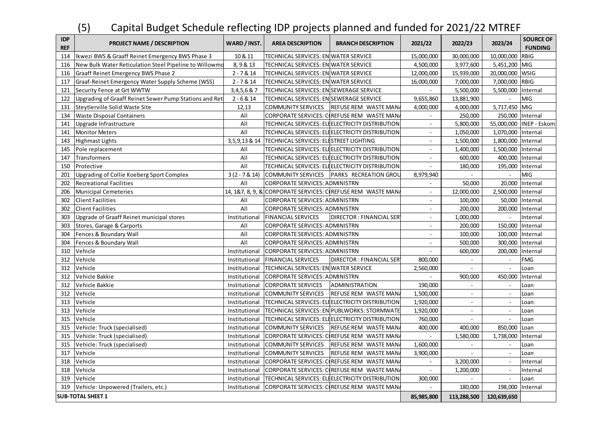## (5) Capital Budget Schedule reflecting IDP projects planned and funded for 2021/22 MTREF

| <b>IDP</b><br><b>REF</b> | <b>PROJECT NAME / DESCRIPTION</b>                      | WARD / INST.     | <b>AREA DESCRIPTION</b>                 | <b>BRANCH DESCRIPTION</b>                                   | 2021/22        | 2022/23                     | 2023/24                     | <b>SOURCE OF</b><br><b>FUNDING</b> |
|--------------------------|--------------------------------------------------------|------------------|-----------------------------------------|-------------------------------------------------------------|----------------|-----------------------------|-----------------------------|------------------------------------|
| 114                      | Ikwezi BWS & Graaff Reinet Emergency BWS Phase 3       | 10 & 11          | TECHNICAL SERVICES: EN WATER SERVICE    |                                                             | 15,000,000     | 30,000,000                  | 10,000,000                  | <b>RBIG</b>                        |
| 116                      | New Bulk Water Reticulation Steel Pipeline to Willowmo | 8, 9 & 13        | TECHNICAL SERVICES: EN WATER SERVICE    |                                                             | 4,500,000      | 3,977,600                   | 5,451,200                   | <b>MIG</b>                         |
| 116                      | <b>Graaff Reinet Emergency BWS Phase 2</b>             | $2 - 7 & 14$     | TECHNICAL SERVICES: EN WATER SERVICE    |                                                             | 12,000,000     | 15,939,000                  | 20,000,000                  | <b>WSIG</b>                        |
| 117                      | Graaf-Reinet Emergency Water Supply Scheme (WSS)       | $2 - 7 & 14$     | TECHNICAL SERVICES: EN WATER SERVICE    |                                                             | 16,000,000     | 7,000,000                   | 7,000,000                   | <b>RBIG</b>                        |
| 121                      | Security Fence at Grt WWTW                             | 3,4,5,6 & 7      | TECHNICAL SERVICES: EN SEWERAGE SERVICE |                                                             |                | 5,500,000                   | 5,500,000                   | Internal                           |
| 122                      | Upgrading of Graaff Reinet Sewer Pump Stations and Ret | $2 - 6 & 14$     | TECHNICAL SERVICES: EN SEWERAGE SERVICE |                                                             | 9,655,860      | 13,881,900                  |                             | MIG                                |
| 131                      | Steytlerville Solid Waste Site                         | 12,13            | <b>COMMUNITY SERVICES</b>               | <b>REFUSE REM WASTE MAN</b>                                 | 4,000,000      | 4,000,000                   | 5,717,450                   | MIG                                |
| 134                      | <b>Waste Disposal Containers</b>                       | All              |                                         | CORPORATE SERVICES: CIREFUSE REM WASTE MAN.                 | $\sim$         | 250,000                     | 250,000                     | Internal                           |
| 141                      | Upgrade Infrastructure                                 | All              |                                         | TECHNICAL SERVICES: ELEELECTRICITY DISTRIBUTION             | $\omega$       | 5,800,000                   |                             | 55,000,000 INEP - Eskom            |
| 141                      | <b>Monitor Meters</b>                                  | All              |                                         | TECHNICAL SERVICES: ELEELECTRICITY DISTRIBUTION             |                | 1,050,000                   | 1,070,000 Internal          |                                    |
| 143                      | <b>Highmast Lights</b>                                 | 3, 5, 9, 13 & 14 | TECHNICAL SERVICES: ELESTREET LIGHTING  |                                                             | $\sim$         | 1,500,000                   | 1,800,000                   | Internal                           |
| 145                      | Pole replacement                                       | All              |                                         | TECHNICAL SERVICES: ELEELECTRICITY DISTRIBUTION             | $\blacksquare$ | 1,400,000                   | 1,500,000                   | Internal                           |
| 147                      | <b>Transformers</b>                                    | All              |                                         | TECHNICAL SERVICES: ELEELECTRICITY DISTRIBUTION             | $\sim$         | 600,000                     | 400,000                     | Internal                           |
| 150                      | Protective                                             | All              |                                         | TECHNICAL SERVICES: ELEELECTRICITY DISTRIBUTION             |                | 180,000                     | 195,000 Internal            |                                    |
| 201                      | Upgrading of Collie Koeberg Sport Complex              | $3(2 - 7 & 14)$  | <b>COMMUNITY SERVICES</b>               | PARKS RECREATION GROU                                       | 8,979,940      | $\mathbb{R}^{\mathbb{Z}}$   | $\mathcal{L}_{\mathcal{A}}$ | MIG                                |
| 202                      | <b>Recreational Facilities</b>                         | All              | CORPORATE SERVICES: ADMINISTRN          |                                                             |                | 50,000                      | 20,000                      | Internal                           |
| 206                      | <b>Municipal Cemeteries</b>                            |                  |                                         | 14, 1&7, 8, 9, & CORPORATE SERVICES: CIREFUSE REM WASTE MAN | $\sim$         | 12,000,000                  | 2,500,000                   | Internal                           |
| 302                      | <b>Client Facilities</b>                               | All              | <b>CORPORATE SERVICES: ADMINISTRN</b>   |                                                             | $\omega$       | 100,000                     | 50,000                      | Internal                           |
| 302                      | <b>Client Facilities</b>                               | All              | CORPORATE SERVICES: ADMINISTRN          |                                                             | $\mathcal{L}$  | 200,000                     | 200,000                     | Internal                           |
| 303                      | Upgrade of Graaff Reinet municipal stores              | Institutional    | <b>FINANCIAL SERVICES</b>               | DIRECTOR : FINANCIAL SER                                    | $\mathbb{Z}^2$ | 1,000,000                   | $\mathbf{r}$                | Internal                           |
| 303                      | Stores, Garage & Carports                              | All              | CORPORATE SERVICES: ADMINISTRN          |                                                             |                | 200,000                     | 150,000                     | Internal                           |
| 304                      | Fences & Boundary Wall                                 | All              | CORPORATE SERVICES: ADMINISTRN          |                                                             | $\sim$         | 100,000                     | 100,000 Internal            |                                    |
| 304                      | Fences & Boundary Wall                                 | All              | CORPORATE SERVICES: ADMINISTRN          |                                                             | ÷,             | 500,000                     | 300,000                     | Internal                           |
| 310                      | Vehicle                                                | Institutional    | CORPORATE SERVICES: ADMINISTRN          |                                                             | $\sim$         | 600,000                     | 200,000                     | Internal                           |
| 312                      | Vehicle                                                | Institutional    | <b>FINANCIAL SERVICES</b>               | <b>DIRECTOR: FINANCIAL SER</b>                              | 800,000        |                             |                             | <b>FMG</b>                         |
| 312                      | Vehicle                                                | Institutional    | TECHNICAL SERVICES: EN WATER SERVICE    |                                                             | 2,560,000      | $\sim$                      | $\blacksquare$              | Loan                               |
| 312                      | Vehicle Bakkie                                         | Institutional    | <b>CORPORATE SERVICES: ADMINISTRN</b>   |                                                             |                | 900,000                     | 450,000                     | Internal                           |
| 312                      | Vehicle Bakkie                                         | Institutional    | <b>CORPORATE SERVICES</b>               | ADMINISTRATION                                              | 190,000        | $\sim$                      | $\overline{\phantom{a}}$    | Loan                               |
| 312                      | Vehicle                                                | Institutional    | <b>COMMUNITY SERVICES</b>               | <b>REFUSE REM WASTE MAN</b>                                 | 1,500,000      | $\mathbf{r}$                | $\sim$                      | Loan                               |
| 313                      | Vehicle                                                | Institutional    |                                         | TECHNICAL SERVICES: ELEELECTRICITY DISTRIBUTION             | 1,920,000      | $\blacksquare$              | $\overline{\phantom{a}}$    | Loan                               |
| 313                      | Vehicle                                                | Institutional    |                                         | TECHNICAL SERVICES: EN PUBLWORKS: STORMWATE                 | 1,920,000      | $\mathbf{r}$                | $\sim$                      | Loan                               |
| 315                      | Vehicle                                                | Institutional    |                                         | TECHNICAL SERVICES: ELEELECTRICITY DISTRIBUTION             | 760,000        | $\mathbf{r}$                | $\sim$                      | Loan                               |
| 315                      | Vehicle: Truck (specialised)                           | Institutional    | COMMUNITY SERVICES                      | REFUSE REM WASTE MAN                                        | 400,000        | 400,000                     | 850,000                     | Loan                               |
| 315                      | Vehicle: Truck (specialised)                           | Institutional    |                                         | CORPORATE SERVICES: COREFUSE REM WASTE MAN.                 |                | 1,580,000                   | 1,738,000                   | Internal                           |
| 315                      | Vehicle: Truck (specialised)                           | Institutional    | <b>COMMUNITY SERVICES</b>               | REFUSE REM WASTE MAN                                        | 1,600,000      | $\mathcal{L}_{\mathcal{A}}$ | $\sim$                      | Loan                               |
| 317                      | Vehicle                                                | Institutional    | <b>COMMUNITY SERVICES</b>               | <b>REFUSE REM WASTE MAN</b>                                 | 3,900,000      |                             |                             | Loan                               |
| 318                      | Vehicle                                                | Institutional    |                                         | CORPORATE SERVICES: COREFUSE REM WASTE MAN                  | $\sim$         | 3,200,000                   | $\sim$                      | Internal                           |
| 318                      | Vehicle                                                | Institutional    |                                         | CORPORATE SERVICES: CIREFUSE REM WASTE MAN                  | $\sim$         | 1,200,000                   | $\overline{\phantom{a}}$    | Internal                           |
| 319                      | Vehicle                                                | Institutional    |                                         | TECHNICAL SERVICES: ELEELECTRICITY DISTRIBUTION             | 300,000        | $\sim$                      | $\overline{\phantom{a}}$    | Loan                               |
| 319                      | Vehicle: Unpowered (Trailers, etc.)                    | Institutional    |                                         | CORPORATE SERVICES: CIREFUSE REM WASTE MAN                  |                | 180,000                     | 198,000                     | Internal                           |
|                          | <b>SUB-TOTAL SHEET 1</b>                               |                  |                                         |                                                             | 85,985,800     | 113,288,500                 | 120,639,650                 |                                    |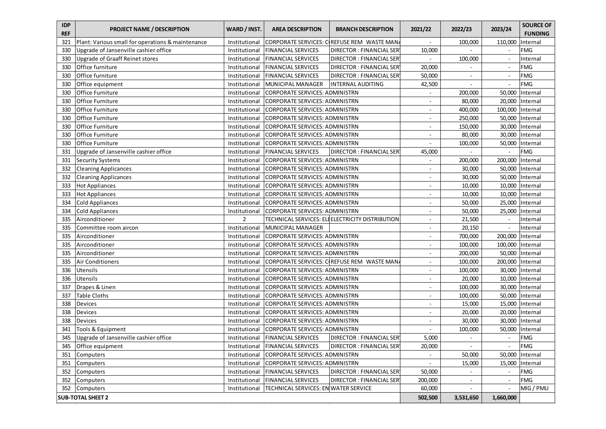| <b>IDP</b><br><b>REF</b> | <b>PROJECT NAME / DESCRIPTION</b>                 | WARD / INST.  | <b>AREA DESCRIPTION</b>               | <b>BRANCH DESCRIPTION</b>                       | 2021/22                  | 2022/23                  | 2023/24                  | <b>SOURCE OF</b><br><b>FUNDING</b> |
|--------------------------|---------------------------------------------------|---------------|---------------------------------------|-------------------------------------------------|--------------------------|--------------------------|--------------------------|------------------------------------|
| 321                      | Plant: Various small for operations & maintenance | Institutional |                                       | CORPORATE SERVICES: COREFUSE REM WASTE MAN      |                          | 100,000                  | 110,000                  | Internal                           |
| 330                      | Upgrade of Jansenville cashier office             | Institutional | <b>FINANCIAL SERVICES</b>             | DIRECTOR: FINANCIAL SER                         | 10,000                   |                          | $\overline{\phantom{a}}$ | <b>FMG</b>                         |
| 330                      | Upgrade of Graaff Reinet stores                   | Institutional | <b>FINANCIAL SERVICES</b>             | <b>DIRECTOR: FINANCIAL SER</b>                  |                          | 100,000                  |                          | Internal                           |
| 330                      | Office furniture                                  | Institutional | <b>FINANCIAL SERVICES</b>             | <b>DIRECTOR: FINANCIAL SER</b>                  | 20,000                   |                          | $\blacksquare$           | <b>FMG</b>                         |
| 330                      | Office furniture                                  | Institutional | <b>FINANCIAL SERVICES</b>             | <b>DIRECTOR: FINANCIAL SER</b>                  | 50,000                   | $\sim$                   | $\overline{a}$           | <b>FMG</b>                         |
| 330                      | Office equipment                                  | Institutional | MUNICIPAL MANAGER                     | <b>INTERNAL AUDITING</b>                        | 42,500                   | $\sim$                   | $\overline{\phantom{a}}$ | <b>FMG</b>                         |
| 330                      | Office Furniture                                  | Institutional | CORPORATE SERVICES: ADMINISTRN        |                                                 | $\overline{\phantom{a}}$ | 200,000                  | 50,000                   | Internal                           |
| 330                      | Office Furniture                                  | Institutional | CORPORATE SERVICES: ADMINISTRN        |                                                 | $\blacksquare$           | 80,000                   | 20,000                   | Internal                           |
| 330                      | Office Furniture                                  | Institutional | CORPORATE SERVICES: ADMINISTRN        |                                                 | $\blacksquare$           | 400,000                  | 100,000                  | Internal                           |
| 330                      | Office Furniture                                  | Institutional | CORPORATE SERVICES: ADMINISTRN        |                                                 | $\overline{\phantom{a}}$ | 250,000                  | 50,000                   | Internal                           |
| 330                      | Office Furniture                                  | Institutional | CORPORATE SERVICES: ADMINISTRN        |                                                 | $\overline{\phantom{a}}$ | 150,000                  | 30,000                   | Internal                           |
| 330                      | Office Furniture                                  | Institutional | CORPORATE SERVICES: ADMINISTRN        |                                                 | $\overline{\phantom{a}}$ | 80,000                   | 30,000                   | Internal                           |
| 330                      | <b>Office Furniture</b>                           | Institutional | <b>CORPORATE SERVICES: ADMINISTRN</b> |                                                 | $\blacksquare$           | 100,000                  | 50,000                   | Internal                           |
| 331                      | Upgrade of Jansenville cashier office             | Institutional | <b>FINANCIAL SERVICES</b>             | DIRECTOR : FINANCIAL SER                        | 45,000                   |                          |                          | <b>FMG</b>                         |
| 331                      | <b>Security Systems</b>                           | Institutional | CORPORATE SERVICES: ADMINISTRN        |                                                 | $\overline{\phantom{a}}$ | 200,000                  | 200,000                  | Internal                           |
| 332                      | <b>Cleaning Applicances</b>                       | Institutional | CORPORATE SERVICES: ADMINISTRN        |                                                 | $\overline{\phantom{a}}$ | 30,000                   | 50,000                   | Internal                           |
| 332                      | <b>Cleaning Applicances</b>                       | Institutional | CORPORATE SERVICES: ADMINISTRN        |                                                 | $\blacksquare$           | 30,000                   | 50,000                   | Internal                           |
| 333                      | <b>Hot Appliances</b>                             | Institutional | <b>CORPORATE SERVICES: ADMINISTRN</b> |                                                 | $\overline{\phantom{a}}$ | 10,000                   | 10,000                   | Internal                           |
| 333                      | <b>Hot Appliances</b>                             | Institutional | CORPORATE SERVICES: ADMINISTRN        |                                                 | $\blacksquare$           | 10,000                   | 10,000                   | Internal                           |
| 334                      | <b>Cold Appliances</b>                            | Institutional | CORPORATE SERVICES: ADMINISTRN        |                                                 | $\overline{\phantom{a}}$ | 50,000                   | 25,000                   | Internal                           |
| 334                      | <b>Cold Appliances</b>                            | Institutional | CORPORATE SERVICES: ADMINISTRN        |                                                 | $\sim$                   | 50,000                   | 25,000                   | Internal                           |
| 335                      | Airconditioner                                    | 2             |                                       | TECHNICAL SERVICES: ELEELECTRICITY DISTRIBUTION | $\overline{\phantom{a}}$ | 21,500                   |                          | Internal                           |
| 335                      | Committee room aircon                             | Institutional | MUNICIPAL MANAGER                     |                                                 | $\overline{\phantom{a}}$ | 20,150                   | $\frac{1}{2}$            | Internal                           |
| 335                      | Airconditioner                                    | Institutional | <b>CORPORATE SERVICES: ADMINISTRN</b> |                                                 | $\overline{\phantom{a}}$ | 700,000                  | 200,000                  | Internal                           |
| 335                      | Airconditioner                                    | Institutional | <b>CORPORATE SERVICES: ADMINISTRN</b> |                                                 | $\overline{\phantom{a}}$ | 100,000                  | 100,000                  | Internal                           |
| 335                      | Airconditioner                                    | Institutional | <b>CORPORATE SERVICES: ADMINISTRN</b> |                                                 | $\overline{\phantom{a}}$ | 200,000                  | 50,000                   | Internal                           |
| 335                      | <b>Air Conditioners</b>                           | Institutional |                                       | CORPORATE SERVICES: CREFUSE REM WASTE MAN       | $\overline{\phantom{a}}$ | 100,000                  | 200,000                  | Internal                           |
| 336                      | Utensils                                          | Institutional | CORPORATE SERVICES: ADMINISTRN        |                                                 | $\overline{\phantom{a}}$ | 100,000                  | 30,000                   | Internal                           |
| 336                      | Utensils                                          | Institutional | CORPORATE SERVICES: ADMINISTRN        |                                                 | $\blacksquare$           | 20,000                   | 10,000                   | Internal                           |
| 337                      | Drapes & Linen                                    | Institutional | CORPORATE SERVICES: ADMINISTRN        |                                                 | $\blacksquare$           | 100,000                  | 30,000                   | Internal                           |
| 337                      | <b>Table Cloths</b>                               | Institutional | CORPORATE SERVICES: ADMINISTRN        |                                                 | $\blacksquare$           | 100,000                  | 50,000                   | Internal                           |
| 338                      | Devices                                           | Institutional | CORPORATE SERVICES: ADMINISTRN        |                                                 | $\overline{\phantom{a}}$ | 15,000                   | 15,000                   | Internal                           |
| 338                      | <b>Devices</b>                                    | Institutional | <b>CORPORATE SERVICES: ADMINISTRN</b> |                                                 | $\sim$                   | 20,000                   | 20,000                   | Internal                           |
| 338                      | <b>Devices</b>                                    | Institutional | CORPORATE SERVICES: ADMINISTRN        |                                                 | $\blacksquare$           | 30,000                   | 30,000                   | Internal                           |
| 341                      | Tools & Equipment                                 | Institutional | <b>CORPORATE SERVICES: ADMINISTRN</b> |                                                 | $\blacksquare$           | 100,000                  | 50,000                   | Internal                           |
| 345                      | Upgrade of Jansenville cashier office             | Institutional | <b>FINANCIAL SERVICES</b>             | <b>DIRECTOR: FINANCIAL SER</b>                  | 5,000                    |                          | $\blacksquare$           | <b>FMG</b>                         |
|                          | 345 Office equipment                              | Institutional | <b>FINANCIAL SERVICES</b>             | DIRECTOR : FINANCIAL SER'                       | 20,000                   | $\sim$                   | $\overline{\phantom{a}}$ | <b>FMG</b>                         |
| 351                      | <b>Computers</b>                                  | Institutional | CORPORATE SERVICES: ADMINISTRN        |                                                 | $\blacksquare$           | 50,000                   | 50,000                   | Internal                           |
| 351                      | Computers                                         | Institutional | <b>CORPORATE SERVICES: ADMINISTRN</b> |                                                 | $\blacksquare$           | 15,000                   | 15,000                   | Internal                           |
| 352                      | Computers                                         | Institutional | FINANCIAL SERVICES                    | DIRECTOR : FINANCIAL SER                        | 50,000                   | $\overline{\phantom{a}}$ | $\blacksquare$           | <b>FMG</b>                         |
| 352                      | Computers                                         | Institutional | <b>FINANCIAL SERVICES</b>             | DIRECTOR : FINANCIAL SER                        | 200,000                  | $\blacksquare$           | $\blacksquare$           | <b>FMG</b>                         |
| 352                      | Computers                                         | Institutional | TECHNICAL SERVICES: EN WATER SERVICE  |                                                 | 60,000                   | $\blacksquare$           | $\overline{\phantom{a}}$ | MIG / PMU                          |
|                          | <b>SUB-TOTAL SHEET 2</b>                          |               |                                       |                                                 | 502,500                  | 3,531,650                | 1,660,000                |                                    |